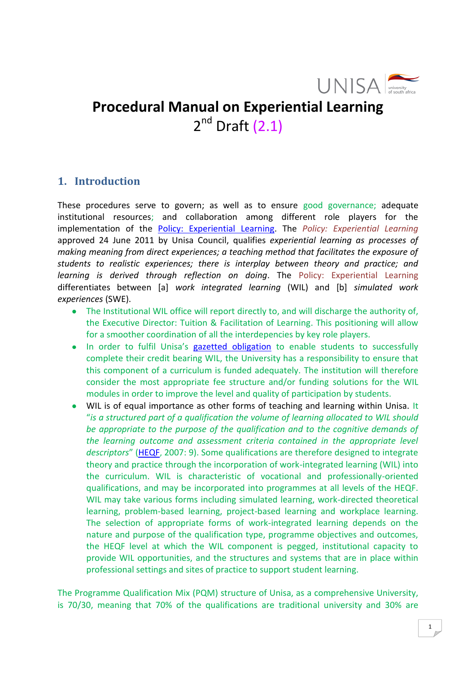

# **Procedural Manual on Experiential Learning** 2<sup>nd</sup> Draft (2.1)

# <span id="page-0-0"></span>**1. Introduction**

These procedures serve to govern; as well as to ensure good governance; adequate institutional resources; and collaboration among different role players for the implementation of the [Policy: Experiential Learning.](http://www.unisa.ac.za/cmsys/staff/contents/departments/tuition_policies/docs/PolicyExperientalLearning_apprvCouncil_24062011.pdf) The *Policy: Experiential Learning* approved 24 June 2011 by Unisa Council, qualifies *experiential learning as processes of making meaning from direct experiences; a teaching method that facilitates the exposure of students to realistic experiences; there is interplay between theory and practice; and learning is derived through reflection on doing*. The Policy: Experiential Learning differentiates between [a] *work integrated learning* (WIL) and [b] *simulated work experiences* (SWE).

- The Institutional WIL office will report directly to, and will discharge the authority of, the Executive Director: Tuition & Facilitation of Learning. This positioning will allow for a smoother coordination of all the interdepencies by key role players.
- In order to fulfil Unisa's [gazetted obligation](http://www.che.ac.za/documents/d000148/) to enable students to successfully complete their credit bearing WIL, the University has a responsibility to ensure that this component of a curriculum is funded adequately. The institution will therefore consider the most appropriate fee structure and/or funding solutions for the WIL modules in order to improve the level and quality of participation by students.
- WIL is of equal importance as other forms of teaching and learning within Unisa. It "*is a structured part of a qualification the volume of learning allocated to WIL should be appropriate to the purpose of the qualification and to the cognitive demands of the learning outcome and assessment criteria contained in the appropriate level descriptors*" ([HEQF](http://www.che.ac.za/documents/d000148/), 2007: 9). Some qualifications are therefore designed to integrate theory and practice through the incorporation of work-integrated learning (WIL) into the curriculum. WIL is characteristic of vocational and professionally-oriented qualifications, and may be incorporated into programmes at all levels of the HEQF. WIL may take various forms including simulated learning, work-directed theoretical learning, problem-based learning, project-based learning and workplace learning. The selection of appropriate forms of work-integrated learning depends on the nature and purpose of the qualification type, programme objectives and outcomes, the HEQF level at which the WIL component is pegged, institutional capacity to provide WIL opportunities, and the structures and systems that are in place within professional settings and sites of practice to support student learning.

The Programme Qualification Mix (PQM) structure of Unisa, as a comprehensive University, is 70/30, meaning that 70% of the qualifications are traditional university and 30% are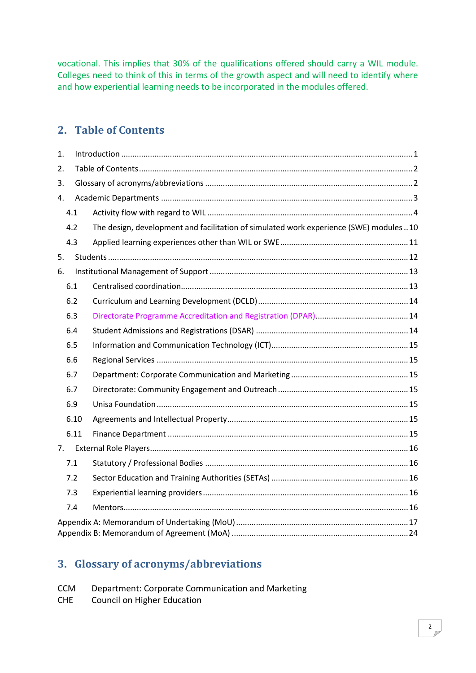vocational. This implies that 30% of the qualifications offered should carry a WIL module. Colleges need to think of this in terms of the growth aspect and will need to identify where and how experiential learning needs to be incorporated in the modules offered.

# <span id="page-1-0"></span>**2. Table of Contents**

| 1. |      |                                                                                         |  |  |  |  |  |  |
|----|------|-----------------------------------------------------------------------------------------|--|--|--|--|--|--|
| 2. |      |                                                                                         |  |  |  |  |  |  |
| 3. |      |                                                                                         |  |  |  |  |  |  |
| 4. |      |                                                                                         |  |  |  |  |  |  |
|    | 4.1  |                                                                                         |  |  |  |  |  |  |
|    | 4.2  | The design, development and facilitation of simulated work experience (SWE) modules  10 |  |  |  |  |  |  |
|    | 4.3  |                                                                                         |  |  |  |  |  |  |
| 5. |      |                                                                                         |  |  |  |  |  |  |
| 6. |      |                                                                                         |  |  |  |  |  |  |
|    | 6.1  |                                                                                         |  |  |  |  |  |  |
|    | 6.2  |                                                                                         |  |  |  |  |  |  |
|    | 6.3  |                                                                                         |  |  |  |  |  |  |
|    | 6.4  |                                                                                         |  |  |  |  |  |  |
|    | 6.5  |                                                                                         |  |  |  |  |  |  |
|    | 6.6  |                                                                                         |  |  |  |  |  |  |
|    | 6.7  |                                                                                         |  |  |  |  |  |  |
|    | 6.7  |                                                                                         |  |  |  |  |  |  |
|    | 6.9  |                                                                                         |  |  |  |  |  |  |
|    | 6.10 |                                                                                         |  |  |  |  |  |  |
|    | 6.11 |                                                                                         |  |  |  |  |  |  |
| 7. |      |                                                                                         |  |  |  |  |  |  |
|    | 7.1  |                                                                                         |  |  |  |  |  |  |
|    | 7.2  |                                                                                         |  |  |  |  |  |  |
|    | 7.3  |                                                                                         |  |  |  |  |  |  |
|    | 7.4  |                                                                                         |  |  |  |  |  |  |
|    |      |                                                                                         |  |  |  |  |  |  |

# <span id="page-1-1"></span>**3. Glossary of acronyms/abbreviations**

| <b>CCM</b> | Department: Corporate Communication and Marketing |
|------------|---------------------------------------------------|
| <b>CHE</b> | Council on Higher Education                       |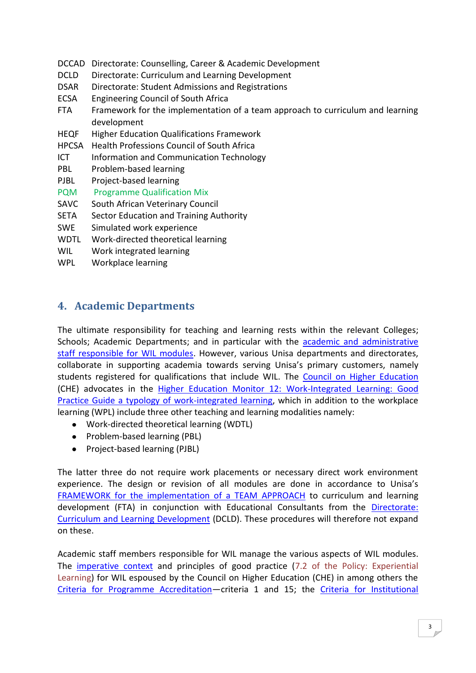- DCCAD Directorate: Counselling, Career & Academic Development
- DCLD Directorate: Curriculum and Learning Development
- DSAR Directorate: Student Admissions and Registrations
- ECSA Engineering Council of South Africa
- FTA Framework for the implementation of a team approach to curriculum and learning development
- HEQF Higher Education Qualifications Framework
- HPCSA Health Professions Council of South Africa
- ICT Information and Communication Technology
- PBL Problem-based learning
- PJBL Project-based learning
- PQM Programme Qualification Mix
- SAVC South African Veterinary Council
- SETA Sector Education and Training Authority
- SWE Simulated work experience
- WDTL Work-directed theoretical learning
- WIL Work integrated learning
- WPL Workplace learning

# <span id="page-2-0"></span>**4. Academic Departments**

The ultimate responsibility for teaching and learning rests within the relevant Colleges; Schools; Academic Departments; and in particular with the [academic and administrative](http://staff.unisa.ac.za/index.jsp?link=http://www.unisa.ac.za/cmsys/staff/default.asp?Cmd=ViewContent&ContentID=3304)  [staff responsible for WIL modules.](http://staff.unisa.ac.za/index.jsp?link=http://www.unisa.ac.za/cmsys/staff/default.asp?Cmd=ViewContent&ContentID=3304) However, various Unisa departments and directorates, collaborate in supporting academia towards serving Unisa's primary customers, namely students registered for qualifications that include WIL. The Council on [Higher Education](http://www.che.ac.za/) (CHE) advocates in the [Higher Education Monitor 12: Work-Integrated Learning: Good](http://www.che.ac.za/documents/d000217/)  [Practice Guide a typology of work-integrated learning,](http://www.che.ac.za/documents/d000217/) which in addition to the workplace learning (WPL) include three other teaching and learning modalities namely:

- Work-directed theoretical learning (WDTL)
- Problem-based learning (PBL)
- Project-based learning (PJBL)

The latter three do not require work placements or necessary direct work environment experience. The design or revision of all modules are done in accordance to Unisa's [FRAMEWORK for the implementation of a TEAM APPROACH](http://www.unisa.ac.za/cmsys/staff/contents/departments/tuition_policies/docs/FrameworkImplementTeamApproach_apprvSenate_17Mar10.pdf) to curriculum and learning development (FTA) in conjunction with Educational Consultants from the **Directorate:** [Curriculum and Learning Development](http://staff.unisa.ac.za/index.jsp?link=http://www.unisa.ac.za/cmsys/staff/default.asp?Cmd=ViewContent&ContentID=3154) (DCLD). These procedures will therefore not expand on these.

Academic staff members responsible for WIL manage the various aspects of WIL modules. The [imperative context](http://staff.unisa.ac.za/index.jsp?link=http://www.unisa.ac.za/cmsys/staff/default.asp?Cmd=ViewContent&ContentID=4837) and principles of good practice (7.2 of the Policy: Experiential Learning) for WIL espoused by the Council on Higher Education (CHE) in among others the [Criteria for Programme Accreditation](http://www.che.ac.za/documents/d000084/)—criteria 1 and 15; the [Criteria for Institutional](http://www.che.ac.za/documents/d000061/)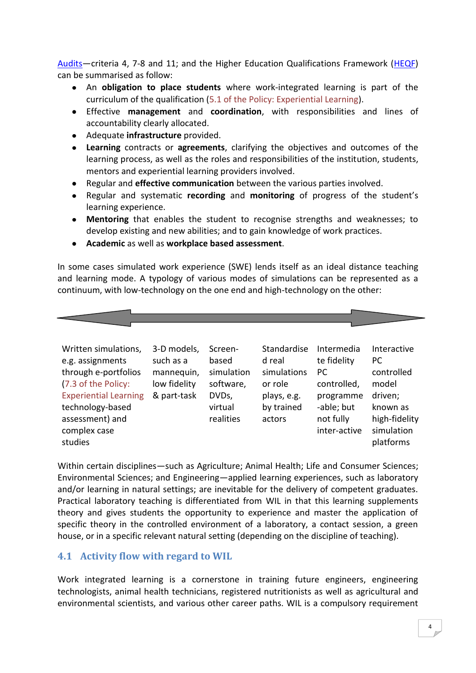Audits—criteria 4, 7-8 and 11; and the Higher Education Qualifications Framework [\(HEQF\)](http://www.che.ac.za/documents/d000148/) can be summarised as follow:

- An **obligation to place students** where work-integrated learning is part of the curriculum of the qualification (5.1 of the Policy: Experiential Learning).
- Effective **management** and **coordination**, with responsibilities and lines of accountability clearly allocated.
- Adequate **infrastructure** provided.
- $\bullet$ **Learning** contracts or **agreements**, clarifying the objectives and outcomes of the learning process, as well as the roles and responsibilities of the institution, students, mentors and experiential learning providers involved.
- $\bullet$ Regular and **effective communication** between the various parties involved.
- $\bullet$ Regular and systematic **recording** and **monitoring** of progress of the student's learning experience.
- **Mentoring** that enables the student to recognise strengths and weaknesses; to develop existing and new abilities; and to gain knowledge of work practices.
- **Academic** as well as **workplace based assessment**.

In some cases simulated work experience (SWE) lends itself as an ideal distance teaching and learning mode. A typology of various modes of simulations can be represented as a continuum, with low-technology on the one end and high-technology on the other:



Within certain disciplines—such as Agriculture; Animal Health; Life and Consumer Sciences; Environmental Sciences; and Engineering—applied learning experiences, such as laboratory and/or learning in natural settings; are inevitable for the delivery of competent graduates. Practical laboratory teaching is differentiated from WIL in that this learning supplements theory and gives students the opportunity to experience and master the application of specific theory in the controlled environment of a laboratory, a contact session, a green house, or in a specific relevant natural setting (depending on the discipline of teaching).

# <span id="page-3-0"></span>**4.1 Activity flow with regard to WIL**

Work integrated learning is a cornerstone in training future engineers, engineering technologists, animal health technicians, registered nutritionists as well as agricultural and environmental scientists, and various other career paths. WIL is a compulsory requirement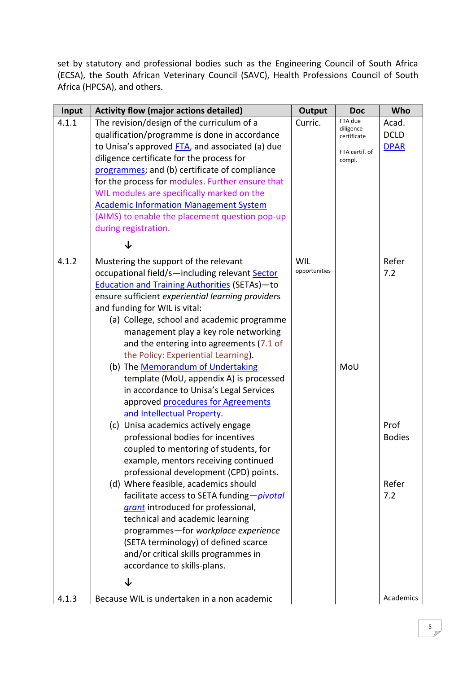set by statutory and professional bodies such as the Engineering Council of South Africa (ECSA), the South African Veterinary Council (SAVC), Health Professions Council of South Africa (HPCSA), and others.

| Input | <b>Activity flow (major actions detailed)</b>        | <b>Output</b> | <b>Doc</b>               | Who           |
|-------|------------------------------------------------------|---------------|--------------------------|---------------|
| 4.1.1 | The revision/design of the curriculum of a           | Curric.       | FTA due                  | Acad.         |
|       | qualification/programme is done in accordance        |               | diligence<br>certificate | <b>DCLD</b>   |
|       | to Unisa's approved FTA, and associated (a) due      |               | FTA certif. of           | <b>DPAR</b>   |
|       | diligence certificate for the process for            |               | compl.                   |               |
|       | programmes; and (b) certificate of compliance        |               |                          |               |
|       | for the process for modules. Further ensure that     |               |                          |               |
|       | WIL modules are specifically marked on the           |               |                          |               |
|       | <b>Academic Information Management System</b>        |               |                          |               |
|       | (AIMS) to enable the placement question pop-up       |               |                          |               |
|       | during registration.                                 |               |                          |               |
|       |                                                      |               |                          |               |
| 4.1.2 | Mustering the support of the relevant                | WIL           |                          | Refer         |
|       | occupational field/s-including relevant Sector       | opportunities |                          | 7.2           |
|       | <b>Education and Training Authorities (SETAs)-to</b> |               |                          |               |
|       | ensure sufficient experiential learning providers    |               |                          |               |
|       | and funding for WIL is vital:                        |               |                          |               |
|       | (a) College, school and academic programme           |               |                          |               |
|       | management play a key role networking                |               |                          |               |
|       | and the entering into agreements (7.1 of             |               |                          |               |
|       | the Policy: Experiential Learning).                  |               |                          |               |
|       | (b) The Memorandum of Undertaking                    |               | MoU                      |               |
|       | template (MoU, appendix A) is processed              |               |                          |               |
|       | in accordance to Unisa's Legal Services              |               |                          |               |
|       | approved procedures for Agreements                   |               |                          |               |
|       | and Intellectual Property.                           |               |                          |               |
|       | (c) Unisa academics actively engage                  |               |                          | Prof          |
|       | professional bodies for incentives                   |               |                          | <b>Bodies</b> |
|       | coupled to mentoring of students, for                |               |                          |               |
|       | example, mentors receiving continued                 |               |                          |               |
|       | professional development (CPD) points.               |               |                          |               |
|       | (d) Where feasible, academics should                 |               |                          | Refer         |
|       | facilitate access to SETA funding-pivotal            |               |                          | 7.2           |
|       | grant introduced for professional,                   |               |                          |               |
|       | technical and academic learning                      |               |                          |               |
|       | programmes-for workplace experience                  |               |                          |               |
|       | (SETA terminology) of defined scarce                 |               |                          |               |
|       | and/or critical skills programmes in                 |               |                          |               |
|       | accordance to skills-plans.                          |               |                          |               |
|       | ↓                                                    |               |                          |               |
| 4.1.3 | Because WIL is undertaken in a non academic          |               |                          | Academics     |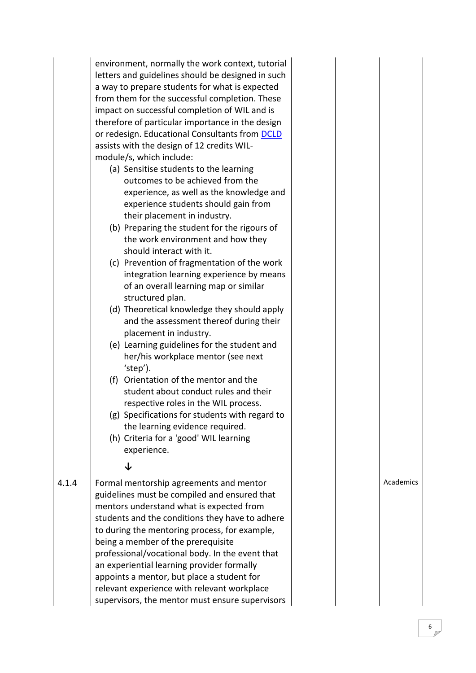|       | environment, normally the work context, tutorial<br>letters and guidelines should be designed in such<br>a way to prepare students for what is expected<br>from them for the successful completion. These<br>impact on successful completion of WIL and is<br>therefore of particular importance in the design<br>or redesign. Educational Consultants from DCLD<br>assists with the design of 12 credits WIL-<br>module/s, which include:<br>(a) Sensitise students to the learning<br>outcomes to be achieved from the<br>experience, as well as the knowledge and<br>experience students should gain from<br>their placement in industry.<br>(b) Preparing the student for the rigours of<br>the work environment and how they<br>should interact with it.<br>(c) Prevention of fragmentation of the work<br>integration learning experience by means<br>of an overall learning map or similar<br>structured plan.<br>(d) Theoretical knowledge they should apply<br>and the assessment thereof during their<br>placement in industry.<br>(e) Learning guidelines for the student and |  |
|-------|------------------------------------------------------------------------------------------------------------------------------------------------------------------------------------------------------------------------------------------------------------------------------------------------------------------------------------------------------------------------------------------------------------------------------------------------------------------------------------------------------------------------------------------------------------------------------------------------------------------------------------------------------------------------------------------------------------------------------------------------------------------------------------------------------------------------------------------------------------------------------------------------------------------------------------------------------------------------------------------------------------------------------------------------------------------------------------------|--|
|       | 'step').<br>(f) Orientation of the mentor and the<br>student about conduct rules and their<br>respective roles in the WIL process.<br>(g) Specifications for students with regard to<br>the learning evidence required.<br>(h) Criteria for a 'good' WIL learning<br>experience.                                                                                                                                                                                                                                                                                                                                                                                                                                                                                                                                                                                                                                                                                                                                                                                                         |  |
|       | ↓                                                                                                                                                                                                                                                                                                                                                                                                                                                                                                                                                                                                                                                                                                                                                                                                                                                                                                                                                                                                                                                                                        |  |
| 4.1.4 | Formal mentorship agreements and mentor<br>guidelines must be compiled and ensured that<br>mentors understand what is expected from<br>students and the conditions they have to adhere<br>to during the mentoring process, for example,<br>being a member of the prerequisite<br>professional/vocational body. In the event that<br>an experiential learning provider formally<br>appoints a mentor, but place a student for<br>relevant experience with relevant workplace<br>supervisors, the mentor must ensure supervisors                                                                                                                                                                                                                                                                                                                                                                                                                                                                                                                                                           |  |

supervisors, the mentor must ensure supervisors

Academics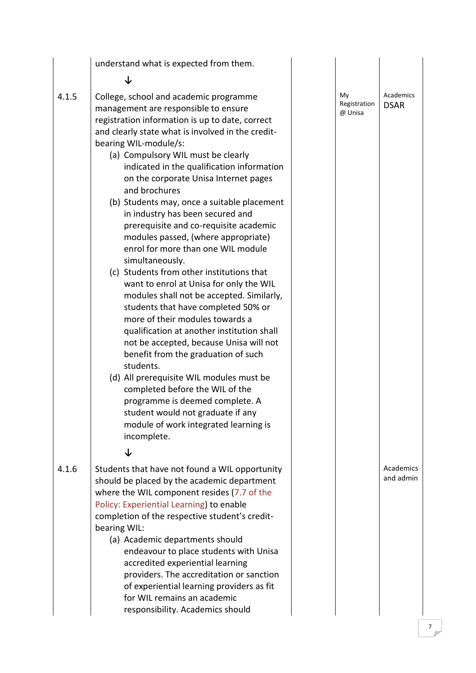|       | understand what is expected from them.                                                                                                                                                                                                                                                                                                                                                                                                                                                                                                                                                                                                                                                                                                                                                                                                                                                                                                                                                                                                                                                                        |                               |                          |
|-------|---------------------------------------------------------------------------------------------------------------------------------------------------------------------------------------------------------------------------------------------------------------------------------------------------------------------------------------------------------------------------------------------------------------------------------------------------------------------------------------------------------------------------------------------------------------------------------------------------------------------------------------------------------------------------------------------------------------------------------------------------------------------------------------------------------------------------------------------------------------------------------------------------------------------------------------------------------------------------------------------------------------------------------------------------------------------------------------------------------------|-------------------------------|--------------------------|
|       | J                                                                                                                                                                                                                                                                                                                                                                                                                                                                                                                                                                                                                                                                                                                                                                                                                                                                                                                                                                                                                                                                                                             |                               |                          |
| 4.1.5 | College, school and academic programme<br>management are responsible to ensure<br>registration information is up to date, correct<br>and clearly state what is involved in the credit-<br>bearing WIL-module/s:<br>(a) Compulsory WIL must be clearly<br>indicated in the qualification information<br>on the corporate Unisa Internet pages<br>and brochures<br>(b) Students may, once a suitable placement<br>in industry has been secured and<br>prerequisite and co-requisite academic<br>modules passed, (where appropriate)<br>enrol for more than one WIL module<br>simultaneously.<br>(c) Students from other institutions that<br>want to enrol at Unisa for only the WIL<br>modules shall not be accepted. Similarly,<br>students that have completed 50% or<br>more of their modules towards a<br>qualification at another institution shall<br>not be accepted, because Unisa will not<br>benefit from the graduation of such<br>students.<br>(d) All prerequisite WIL modules must be<br>completed before the WIL of the<br>programme is deemed complete. A<br>student would not graduate if any | My<br>Registration<br>@ Unisa | Academics<br><b>DSAR</b> |
|       | module of work integrated learning is<br>incomplete.                                                                                                                                                                                                                                                                                                                                                                                                                                                                                                                                                                                                                                                                                                                                                                                                                                                                                                                                                                                                                                                          |                               |                          |
|       | ↓                                                                                                                                                                                                                                                                                                                                                                                                                                                                                                                                                                                                                                                                                                                                                                                                                                                                                                                                                                                                                                                                                                             |                               |                          |
| 4.1.6 | Students that have not found a WIL opportunity<br>should be placed by the academic department<br>where the WIL component resides (7.7 of the<br>Policy: Experiential Learning) to enable<br>completion of the respective student's credit-<br>bearing WIL:<br>(a) Academic departments should<br>endeavour to place students with Unisa<br>accredited experiential learning<br>providers. The accreditation or sanction<br>of experiential learning providers as fit<br>for WIL remains an academic                                                                                                                                                                                                                                                                                                                                                                                                                                                                                                                                                                                                           |                               | Academics<br>and admin   |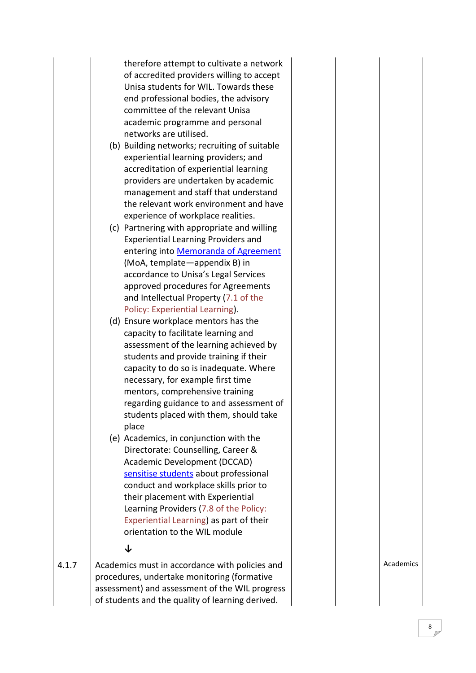therefore attempt to cultivate a network of accredited providers willing to accept Unisa students for WIL. Towards these end professional bodies, the advisory committee of the relevant Unisa academic programme and personal networks are utilised.

- (b) Building networks; recruiting of suitable experiential learning providers; and accreditation of experiential learning providers are undertaken by academic management and staff that understand the relevant work environment and have experience of workplace realities.
- (c) Partnering with appropriate and willing Experiential Learning Providers and entering into [Memoranda of Agreement](http://www.unisa.ac.za/cmsys/staff/contents/departments/wil/docs/WIL_Memo_of_Agreement_Academic_use_24Aug2011.doc) (MoA, template —appendix B) in accordance to Unisa's Legal Services approved procedures for Agreements and Intellectual Property (7.1 of the Policy: Experiential Learning).
- (d) Ensure workplace mentors has the capacity to facilitate learning and assessment of the learning achieved by students and provide training if their capacity to do so is inadequate. Where necessary, for example first time mentors, comprehensive training regarding guidance to and assessment of students placed with them, should take place
- (e) Academics, in conjunction with the Directorate: Counselling, Career & Academic Development (DCCAD) [sensitise students](http://staff.unisa.ac.za/index.jsp?link=http://www.unisa.ac.za/cmsys/staff/default.asp?Cmd=ViewContent&ContentID=3432) about professional conduct and workplace skills prior to their placement with Experiential Learning Providers (7.8 of the Policy: Experiential Learning) as part of their orientation to the WIL module

**↓**

4.1.7 Academics must in accordance with policies and procedures, undertake monitoring (formative assessment) and assessment of the WIL progress of students and the quality of learning derived.

Academics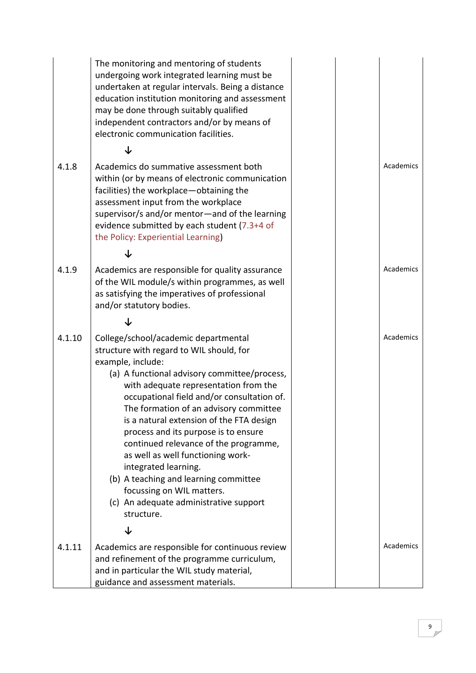|        | The monitoring and mentoring of students<br>undergoing work integrated learning must be<br>undertaken at regular intervals. Being a distance<br>education institution monitoring and assessment<br>may be done through suitably qualified<br>independent contractors and/or by means of<br>electronic communication facilities.                                                                                                                                                                                                                                                                                     |  |           |
|--------|---------------------------------------------------------------------------------------------------------------------------------------------------------------------------------------------------------------------------------------------------------------------------------------------------------------------------------------------------------------------------------------------------------------------------------------------------------------------------------------------------------------------------------------------------------------------------------------------------------------------|--|-----------|
|        |                                                                                                                                                                                                                                                                                                                                                                                                                                                                                                                                                                                                                     |  |           |
| 4.1.8  | Academics do summative assessment both<br>within (or by means of electronic communication<br>facilities) the workplace-obtaining the<br>assessment input from the workplace<br>supervisor/s and/or mentor-and of the learning<br>evidence submitted by each student (7.3+4 of<br>the Policy: Experiential Learning)                                                                                                                                                                                                                                                                                                 |  | Academics |
|        |                                                                                                                                                                                                                                                                                                                                                                                                                                                                                                                                                                                                                     |  |           |
| 4.1.9  | Academics are responsible for quality assurance<br>of the WIL module/s within programmes, as well<br>as satisfying the imperatives of professional<br>and/or statutory bodies.                                                                                                                                                                                                                                                                                                                                                                                                                                      |  | Academics |
|        |                                                                                                                                                                                                                                                                                                                                                                                                                                                                                                                                                                                                                     |  |           |
| 4.1.10 | College/school/academic departmental<br>structure with regard to WIL should, for<br>example, include:<br>(a) A functional advisory committee/process,<br>with adequate representation from the<br>occupational field and/or consultation of.<br>The formation of an advisory committee<br>is a natural extension of the FTA design<br>process and its purpose is to ensure<br>continued relevance of the programme,<br>as well as well functioning work-<br>integrated learning.<br>(b) A teaching and learning committee<br>focussing on WIL matters.<br>(c) An adequate administrative support<br>structure.<br>↓ |  | Academics |
|        |                                                                                                                                                                                                                                                                                                                                                                                                                                                                                                                                                                                                                     |  | Academics |
| 4.1.11 | Academics are responsible for continuous review<br>and refinement of the programme curriculum,<br>and in particular the WIL study material,<br>guidance and assessment materials.                                                                                                                                                                                                                                                                                                                                                                                                                                   |  |           |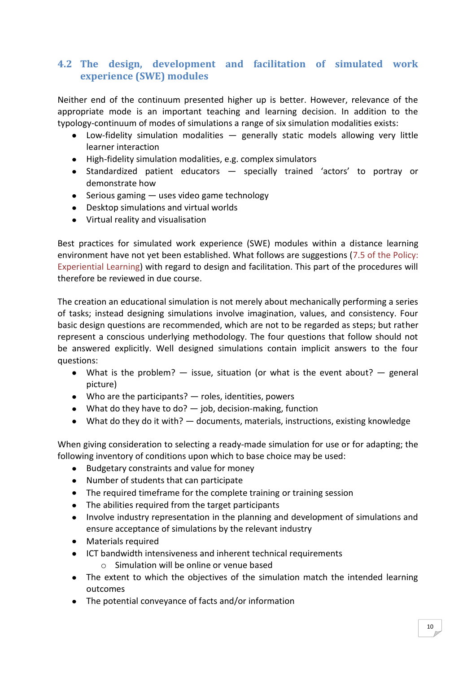# <span id="page-9-0"></span>**4.2 The design, development and facilitation of simulated work experience (SWE) modules**

Neither end of the continuum presented higher up is better. However, relevance of the appropriate mode is an important teaching and learning decision. In addition to the typology-continuum of modes of simulations a range of six simulation modalities exists:

- Low-fidelity simulation modalities generally static models allowing very little learner interaction
- High-fidelity simulation modalities, e.g. complex simulators
- Standardized patient educators specially trained 'actors' to portray or demonstrate how
- $\bullet$  Serious gaming  $-$  uses video game technology
- Desktop simulations and virtual worlds
- Virtual reality and visualisation

Best practices for simulated work experience (SWE) modules within a distance learning environment have not yet been established. What follows are suggestions (7.5 of the Policy: Experiential Learning) with regard to design and facilitation. This part of the procedures will therefore be reviewed in due course.

The creation an educational simulation is not merely about mechanically performing a series of tasks; instead designing simulations involve imagination, values, and consistency. Four basic design questions are recommended, which are not to be regarded as steps; but rather represent a conscious underlying methodology. The four questions that follow should not be answered explicitly. Well designed simulations contain implicit answers to the four questions:

- What is the problem?  $-$  issue, situation (or what is the event about?  $-$  general picture)
- Who are the participants? roles, identities, powers
- What do they have to do?  $-$  job, decision-making, function
- What do they do it with? documents, materials, instructions, existing knowledge

When giving consideration to selecting a ready-made simulation for use or for adapting; the following inventory of conditions upon which to base choice may be used:

- Budgetary constraints and value for money  $\bullet$
- Number of students that can participate
- The required timeframe for the complete training or training session
- The abilities required from the target participants
- Involve industry representation in the planning and development of simulations and  $\bullet$ ensure acceptance of simulations by the relevant industry
- Materials required
- ICT bandwidth intensiveness and inherent technical requirements
	- o Simulation will be online or venue based
- The extent to which the objectives of the simulation match the intended learning outcomes
- The potential conveyance of facts and/or information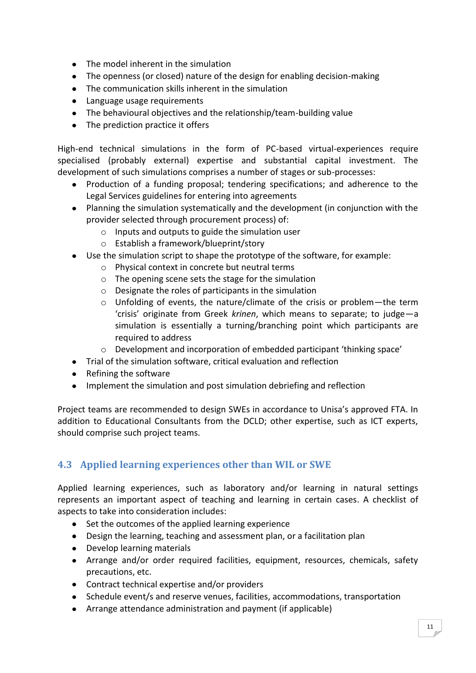- The model inherent in the simulation
- The openness (or closed) nature of the design for enabling decision-making
- The communication skills inherent in the simulation
- Language usage requirements
- The behavioural objectives and the relationship/team-building value
- The prediction practice it offers

High-end technical simulations in the form of PC-based virtual-experiences require specialised (probably external) expertise and substantial capital investment. The development of such simulations comprises a number of stages or sub-processes:

- Production of a funding proposal; tendering specifications; and adherence to the Legal Services guidelines for entering into agreements
- Planning the simulation systematically and the development (in conjunction with the provider selected through procurement process) of:
	- o Inputs and outputs to guide the simulation user
	- o Establish a framework/blueprint/story
- Use the simulation script to shape the prototype of the software, for example:
	- o Physical context in concrete but neutral terms
	- o The opening scene sets the stage for the simulation
	- o Designate the roles of participants in the simulation
	- o Unfolding of events, the nature/climate of the crisis or problem—the term 'crisis' originate from Greek *krinen*, which means to separate; to judge—a simulation is essentially a turning/branching point which participants are required to address
	- $\circ$  Development and incorporation of embedded participant 'thinking space'
- Trial of the simulation software, critical evaluation and reflection
- Refining the software
- Implement the simulation and post simulation debriefing and reflection

Project teams are recommended to design SWEs in accordance to Unisa's approved FTA. In addition to Educational Consultants from the DCLD; other expertise, such as ICT experts, should comprise such project teams.

# <span id="page-10-0"></span>**4.3 Applied learning experiences other than WIL or SWE**

Applied learning experiences, such as laboratory and/or learning in natural settings represents an important aspect of teaching and learning in certain cases. A checklist of aspects to take into consideration includes:

- Set the outcomes of the applied learning experience
- Design the learning, teaching and assessment plan, or a facilitation plan
- Develop learning materials
- Arrange and/or order required facilities, equipment, resources, chemicals, safety precautions, etc.
- Contract technical expertise and/or providers
- Schedule event/s and reserve venues, facilities, accommodations, transportation
- Arrange attendance administration and payment (if applicable)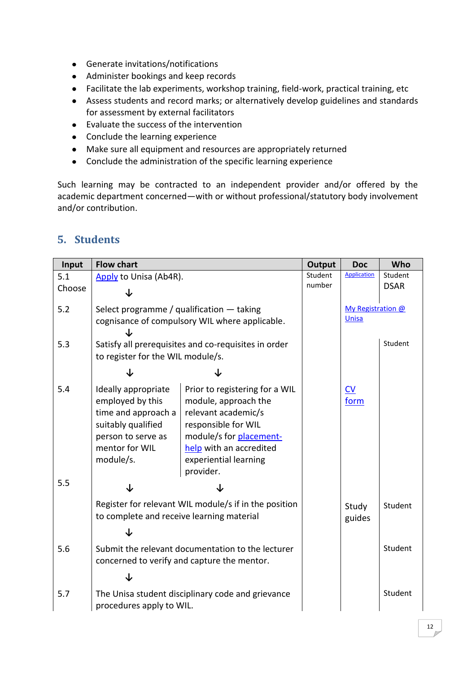- Generate invitations/notifications
- Administer bookings and keep records
- Facilitate the lab experiments, workshop training, field-work, practical training, etc
- Assess students and record marks; or alternatively develop guidelines and standards for assessment by external facilitators
- Evaluate the success of the intervention
- Conclude the learning experience
- Make sure all equipment and resources are appropriately returned
- Conclude the administration of the specific learning experience

Such learning may be contracted to an independent provider and/or offered by the academic department concerned—with or without professional/statutory body involvement and/or contribution.

# <span id="page-11-0"></span>**5. Students**

| Input  | <b>Flow chart</b>                                                                                                                         |                                                                                                                                                                                                  | Output | <b>Doc</b>                      | Who         |
|--------|-------------------------------------------------------------------------------------------------------------------------------------------|--------------------------------------------------------------------------------------------------------------------------------------------------------------------------------------------------|--------|---------------------------------|-------------|
| 5.1    | Apply to Unisa (Ab4R).                                                                                                                    |                                                                                                                                                                                                  |        | <b>Application</b>              | Student     |
| Choose | J                                                                                                                                         |                                                                                                                                                                                                  | number |                                 | <b>DSAR</b> |
| 5.2    | Select programme / qualification $-$ taking                                                                                               | cognisance of compulsory WIL where applicable.                                                                                                                                                   |        | My Registration @<br>Unisa      |             |
|        |                                                                                                                                           |                                                                                                                                                                                                  |        |                                 |             |
| 5.3    | to register for the WIL module/s.                                                                                                         | Satisfy all prerequisites and co-requisites in order                                                                                                                                             |        |                                 | Student     |
|        | ↓                                                                                                                                         |                                                                                                                                                                                                  |        |                                 |             |
| 5.4    | Ideally appropriate<br>employed by this<br>time and approach a<br>suitably qualified<br>person to serve as<br>mentor for WIL<br>module/s. | Prior to registering for a WIL<br>module, approach the<br>relevant academic/s<br>responsible for WIL<br>module/s for placement-<br>help with an accredited<br>experiential learning<br>provider. |        | $\underline{\text{CV}}$<br>form |             |
| 5.5    | $\downarrow$                                                                                                                              | ↓                                                                                                                                                                                                |        |                                 |             |
|        | to complete and receive learning material                                                                                                 | Register for relevant WIL module/s if in the position                                                                                                                                            |        | Study<br>guides                 | Student     |
|        | J                                                                                                                                         |                                                                                                                                                                                                  |        |                                 |             |
| 5.6    |                                                                                                                                           | Submit the relevant documentation to the lecturer<br>concerned to verify and capture the mentor.                                                                                                 |        |                                 | Student     |
|        | ↓                                                                                                                                         |                                                                                                                                                                                                  |        |                                 |             |
| 5.7    | The Unisa student disciplinary code and grievance<br>procedures apply to WIL.                                                             |                                                                                                                                                                                                  |        |                                 | Student     |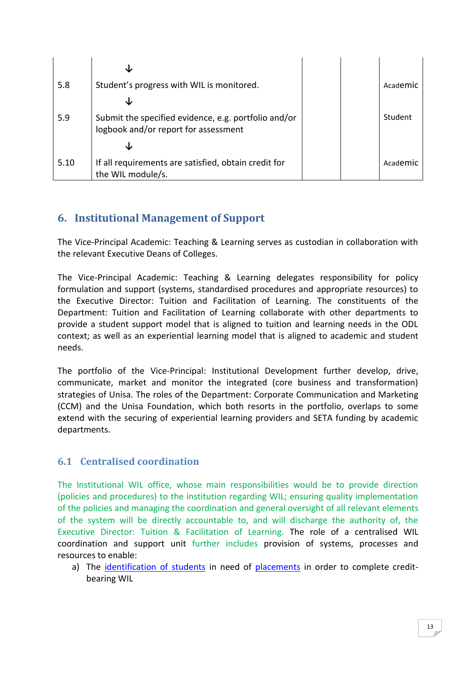|      | s                                                                                            |  |          |
|------|----------------------------------------------------------------------------------------------|--|----------|
| 5.8  | Student's progress with WIL is monitored.                                                    |  | Academic |
|      |                                                                                              |  |          |
| 5.9  | Submit the specified evidence, e.g. portfolio and/or<br>logbook and/or report for assessment |  | Student  |
|      |                                                                                              |  |          |
| 5.10 | If all requirements are satisfied, obtain credit for<br>the WIL module/s.                    |  | Academic |

# <span id="page-12-0"></span>**6. Institutional Management of Support**

The Vice-Principal Academic: Teaching & Learning serves as custodian in collaboration with the relevant Executive Deans of Colleges.

The Vice-Principal Academic: Teaching & Learning delegates responsibility for policy formulation and support (systems, standardised procedures and appropriate resources) to the Executive Director: Tuition and Facilitation of Learning. The constituents of the Department: Tuition and Facilitation of Learning collaborate with other departments to provide a student support model that is aligned to tuition and learning needs in the ODL context; as well as an experiential learning model that is aligned to academic and student needs.

The portfolio of the Vice-Principal: Institutional Development further develop, drive, communicate, market and monitor the integrated (core business and transformation) strategies of Unisa. The roles of the Department: Corporate Communication and Marketing (CCM) and the Unisa Foundation, which both resorts in the portfolio, overlaps to some extend with the securing of experiential learning providers and SETA funding by academic departments.

# <span id="page-12-1"></span>**6.1 Centralised coordination**

The Institutional WIL office, whose main responsibilities would be to provide direction (policies and procedures) to the institution regarding WIL; ensuring quality implementation of the policies and managing the coordination and general oversight of all relevant elements of the system will be directly accountable to, and will discharge the authority of, the Executive Director: Tuition & Facilitation of Learning. The role of a centralised WIL coordination and support unit further includes provision of systems, processes and resources to enable:

a) The [identification of students](http://staff.unisa.ac.za/index.jsp?link=http://www.unisa.ac.za/cmsys/staff/default.asp?Cmd=ViewContent&ContentID=3423) in need of [placements](http://staff.unisa.ac.za/index.jsp?link=http://www.unisa.ac.za/cmsys/staff/default.asp?Cmd=ViewContent&ContentID=6261) in order to complete creditbearing WIL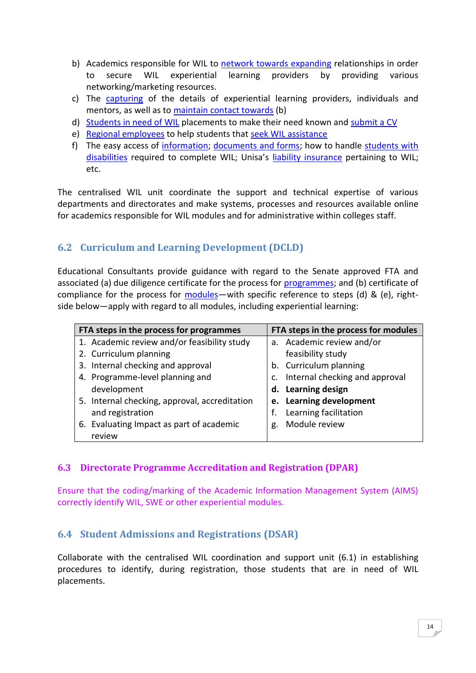- b) Academics responsible for WIL to [network towards expanding](http://staff.unisa.ac.za/index.jsp?link=http://www.unisa.ac.za/cmsys/staff/default.asp?Cmd=ViewContent&ContentID=5119) relationships in order to secure WIL experiential learning providers by providing various networking/marketing resources.
- c) The [capturing](http://staff.unisa.ac.za/index.jsp?link=http://www.unisa.ac.za/cmsys/staff/default.asp?Cmd=ViewContent&ContentID=6182) of the details of experiential learning providers, individuals and mentors, as well as to [maintain contact towards](http://kidz.unisa.ac.za/wil/CodeLib/General/SignIn.aspx?ReturnUrl=%2fwil%2fdefault.aspx) (b)
- d) [Students in need of WIL](http://staff.unisa.ac.za/index.jsp?link=http://www.unisa.ac.za/cmsys/staff/default.asp?Cmd=ViewContent&ContentID=3989) placements to make their need known and [submit a CV](http://www.unisa.ac.za/wil)
- e) [Regional employees](http://staff.unisa.ac.za/index.jsp?link=http://www.unisa.ac.za/cmsys/staff/default.asp?Cmd=ViewContent&ContentID=3422) to help students that [seek WIL assistance](http://staff.unisa.ac.za/index.jsp?link=http://www.unisa.ac.za/cmsys/staff/default.asp?Cmd=ViewContent&ContentID=5120)
- f) The easy access of [information;](http://staff.unisa.ac.za/index.jsp?link=http://www.unisa.ac.za/cmsys/staff/default.asp?Cmd=ViewContent&ContentID=3427) [documents and forms;](http://staff.unisa.ac.za/index.jsp?link=http://www.unisa.ac.za/cmsys/staff/default.asp?Cmd=ViewContent&ContentID=5223) how to handle [students with](http://staff.unisa.ac.za/index.jsp?link=http://www.unisa.ac.za/cmsys/staff/default.asp?Cmd=ViewContent&ContentID=5795)  [disabilities](http://staff.unisa.ac.za/index.jsp?link=http://www.unisa.ac.za/cmsys/staff/default.asp?Cmd=ViewContent&ContentID=5795) required to complete WIL; Unisa's [liability insurance](http://staff.unisa.ac.za/index.jsp?link=http://www.unisa.ac.za/cmsys/staff/default.asp?Cmd=ViewContent&ContentID=3531) pertaining to WIL; etc.

The centralised WIL unit coordinate the support and technical expertise of various departments and directorates and make systems, processes and resources available online for academics responsible for WIL modules and for administrative within colleges staff.

# <span id="page-13-0"></span>**6.2 Curriculum and Learning Development (DCLD)**

Educational Consultants provide guidance with regard to the Senate approved FTA and associated (a) due diligence certificate for the process for [programmes;](http://www.unisa.ac.za/cmsys/staff/contents/departments/tuition_policies/docs/DueDiligenceCertifiacte_programm_03Nov2011.pdf) and (b) certificate of compliance for the process for [modules](http://www.unisa.ac.za/cmsys/staff/contents/departments/tuition_policies/docs/CertificateCompliance_modules_03Nov2011.pdf)—with specific reference to steps (d) & (e), rightside below—apply with regard to all modules, including experiential learning:

| FTA steps in the process for programmes       | FTA steps in the process for modules            |  |  |  |
|-----------------------------------------------|-------------------------------------------------|--|--|--|
| 1. Academic review and/or feasibility study   | a. Academic review and/or                       |  |  |  |
| 2. Curriculum planning                        | feasibility study                               |  |  |  |
| 3. Internal checking and approval             | b. Curriculum planning                          |  |  |  |
| 4. Programme-level planning and               | Internal checking and approval<br>$C_{\bullet}$ |  |  |  |
| development                                   | d. Learning design                              |  |  |  |
| 5. Internal checking, approval, accreditation | e. Learning development                         |  |  |  |
| and registration                              | Learning facilitation<br>f.                     |  |  |  |
| 6. Evaluating Impact as part of academic      | Module review<br>g.                             |  |  |  |
| review                                        |                                                 |  |  |  |

# <span id="page-13-1"></span>**6.3 Directorate Programme Accreditation and Registration (DPAR)**

Ensure that the coding/marking of the Academic Information Management System (AIMS) correctly identify WIL, SWE or other experiential modules.

# <span id="page-13-2"></span>**6.4 Student Admissions and Registrations (DSAR)**

Collaborate with the centralised WIL coordination and support unit (6.1) in establishing procedures to identify, during registration, those students that are in need of WIL placements.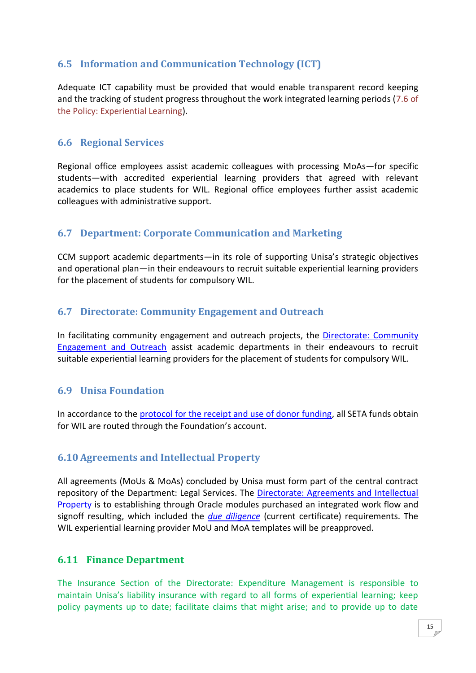# <span id="page-14-0"></span>**6.5 Information and Communication Technology (ICT)**

Adequate ICT capability must be provided that would enable transparent record keeping and the tracking of student progress throughout the work integrated learning periods (7.6 of the Policy: Experiential Learning).

# <span id="page-14-1"></span>**6.6 Regional Services**

Regional office employees assist academic colleagues with processing MoAs—for specific students—with accredited experiential learning providers that agreed with relevant academics to place students for WIL. Regional office employees further assist academic colleagues with administrative support.

# <span id="page-14-2"></span>**6.7 Department: Corporate Communication and Marketing**

CCM support academic departments—in its role of supporting Unisa's strategic objectives and operational plan—in their endeavours to recruit suitable experiential learning providers for the placement of students for compulsory WIL.

# <span id="page-14-3"></span>**6.7 Directorate: Community Engagement and Outreach**

In facilitating community engagement and outreach projects, the [Directorate:](http://staff.unisa.ac.za/index.jsp?link=http://www.unisa.ac.za/cmsys/staff/default.asp?Cmd=ViewContent&ContentID=4907) Community Engagement [and Outreach](http://staff.unisa.ac.za/index.jsp?link=http://www.unisa.ac.za/cmsys/staff/default.asp?Cmd=ViewContent&ContentID=4907) assist academic departments in their endeavours to recruit suitable experiential learning providers for the placement of students for compulsory WIL.

# <span id="page-14-4"></span>**6.9 Unisa Foundation**

In accordance to the [protocol for the receipt and use of donor funding,](http://www.unisa.ac.za/cmsys/staff/contents/departments/ccm_policies/docs/ProtocolReceiptDonorFunding_apprvManCom_02June09.pdf) all SETA funds obtain for WIL are routed through the Foundation's account.

# <span id="page-14-5"></span>**6.10 Agreements and Intellectual Property**

All agreements (MoUs & MoAs) concluded by Unisa must form part of the central contract repository of the Department: Legal Services. The Directorate: Agreements and Intellectual [Property](http://staff.unisa.ac.za/index.jsp?link=http://www.unisa.ac.za/cmsys/staff/default.asp?Cmd=ViewContent&ContentID=3313) is to establishing through Oracle modules purchased an integrated work flow and signoff resulting, which included the *[due diligence](http://www.unisa.ac.za/cmsys/staff/contents/departments/legal_services/docs/Due%20Diligence%20Certificate%20p3%202011.doc)* (current certificate) requirements. The WIL experiential learning provider MoU and MoA templates will be preapproved.

# <span id="page-14-6"></span>**6.11 Finance Department**

The Insurance Section of the Directorate: Expenditure Management is responsible to maintain Unisa's liability insurance with regard to all forms of experiential learning; keep policy payments up to date; facilitate claims that might arise; and to provide up to date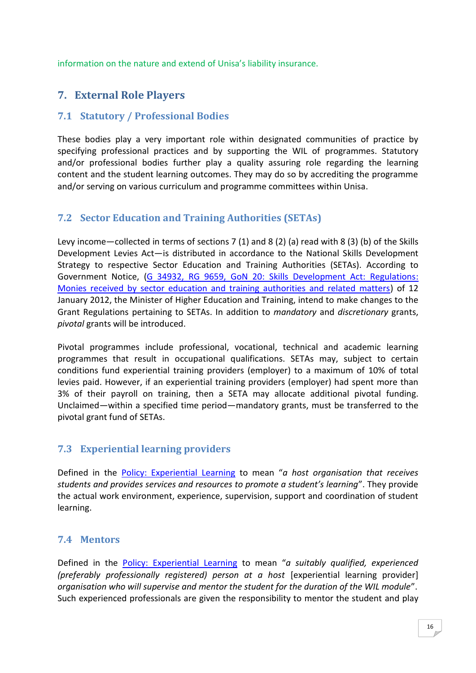<span id="page-15-0"></span>information on the nature and extend of Unisa's liability insurance.

# **7. External Role Players**

# <span id="page-15-1"></span>**7.1 Statutory / Professional Bodies**

These bodies play a very important role within designated communities of practice by specifying professional practices and by supporting the WIL of programmes. Statutory and/or professional bodies further play a quality assuring role regarding the learning content and the student learning outcomes. They may do so by accrediting the programme and/or serving on various curriculum and programme committees within Unisa.

# <span id="page-15-2"></span>**7.2 Sector Education and Training Authorities (SETAs)**

Levy income—collected in terms of sections 7 (1) and 8 (2) (a) read with 8 (3) (b) of the Skills Development Levies Act—is distributed in accordance to the National Skills Development Strategy to respective Sector Education and Training Authorities (SETAs). According to Government Notice, [\(G 34932, RG 9659, GoN 20: Skills Development Act: Regulations:](http://www.info.gov.za/view/DownloadFileAction?id=157900)  [Monies received by sector education and training authorities and related matters\)](http://www.info.gov.za/view/DownloadFileAction?id=157900) of 12 January 2012, the Minister of Higher Education and Training, intend to make changes to the Grant Regulations pertaining to SETAs. In addition to *mandatory* and *discretionary* grants, *pivotal* grants will be introduced.

Pivotal programmes include professional, vocational, technical and academic learning programmes that result in occupational qualifications. SETAs may, subject to certain conditions fund experiential training providers (employer) to a maximum of 10% of total levies paid. However, if an experiential training providers (employer) had spent more than 3% of their payroll on training, then a SETA may allocate additional pivotal funding. Unclaimed—within a specified time period—mandatory grants, must be transferred to the pivotal grant fund of SETAs.

# <span id="page-15-3"></span>**7.3 Experiential learning providers**

Defined in the [Policy: Experiential Learning](http://www.unisa.ac.za/cmsys/staff/contents/departments/tuition_policies/docs/PolicyExperientalLearning_apprvCouncil_24062011.pdf) to mean "*a host organisation that receives students and provides services and resources to promote a student's learning*". They provide the actual work environment, experience, supervision, support and coordination of student learning.

# <span id="page-15-4"></span>**7.4 Mentors**

Defined in the [Policy: Experiential Learning](http://www.unisa.ac.za/cmsys/staff/contents/departments/tuition_policies/docs/PolicyExperientalLearning_apprvCouncil_24062011.pdf) to mean "*a suitably qualified, experienced (preferably professionally registered) person at a host* [experiential learning provider] *organisation who will supervise and mentor the student for the duration of the WIL module*". Such experienced professionals are given the responsibility to mentor the student and play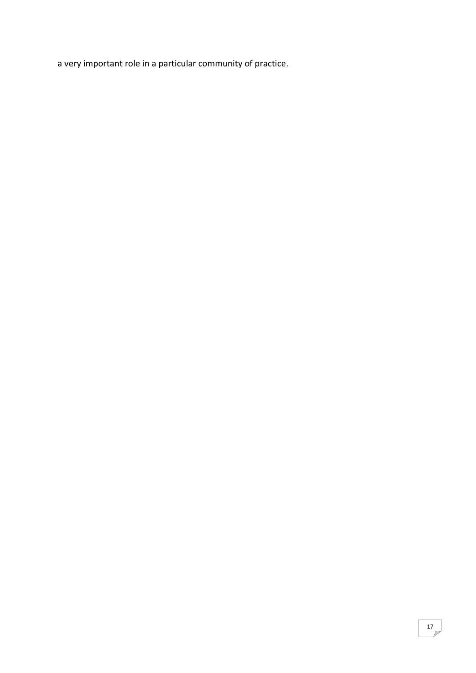a very important role in a particular community of practice.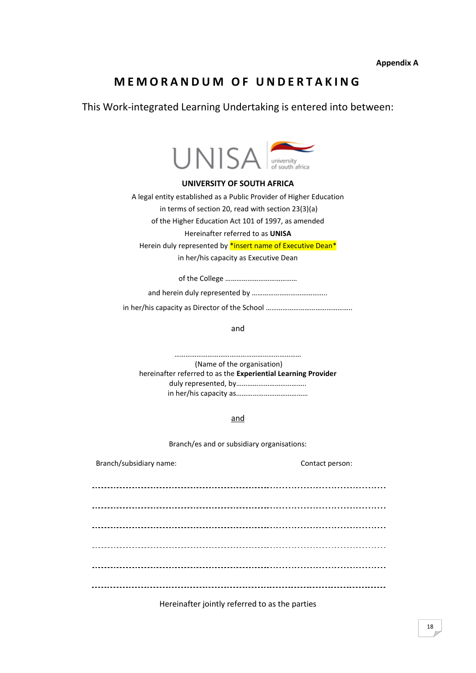# **M E M O R A N D U M O F U N D E R T A K I N G**

This Work-integrated Learning Undertaking is entered into between:



#### **UNIVERSITY OF SOUTH AFRICA**

A legal entity established as a Public Provider of Higher Education in terms of section 20, read with section 23(3)(a)

of the Higher Education Act 101 of 1997, as amended

### Hereinafter referred to as **UNISA**

Herein duly represented by \*insert name of Executive Dean\*

in her/his capacity as Executive Dean

of the College …………………………………

and herein duly represented by …………………………………..

in her/his capacity as Director of the School ………………………………………..

and

…………………………………………………………… (Name of the organisation) hereinafter referred to as the **Experiential Learning Provider** duly represented, by……………………………….. in her/his capacity as…………………………………

and

Branch/es and or subsidiary organisations:

Branch/subsidiary name: Contact person: 

Hereinafter jointly referred to as the parties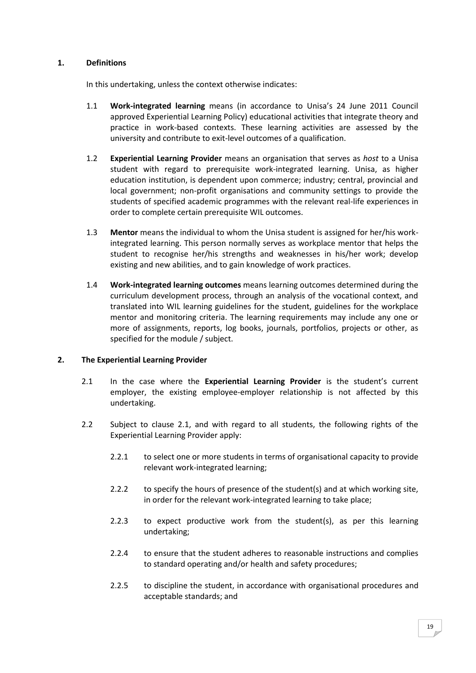### **1. Definitions**

In this undertaking, unless the context otherwise indicates:

- 1.1 **Work-integrated learning** means (in accordance to Unisa's 24 June 2011 Council approved Experiential Learning Policy) educational activities that integrate theory and practice in work-based contexts. These learning activities are assessed by the university and contribute to exit-level outcomes of a qualification.
- 1.2 **Experiential Learning Provider** means an organisation that serves as *host* to a Unisa student with regard to prerequisite work-integrated learning. Unisa, as higher education institution, is dependent upon commerce; industry; central, provincial and local government; non-profit organisations and community settings to provide the students of specified academic programmes with the relevant real-life experiences in order to complete certain prerequisite WIL outcomes.
- 1.3 **Mentor** means the individual to whom the Unisa student is assigned for her/his workintegrated learning. This person normally serves as workplace mentor that helps the student to recognise her/his strengths and weaknesses in his/her work; develop existing and new abilities, and to gain knowledge of work practices.
- 1.4 **Work-integrated learning outcomes** means learning outcomes determined during the curriculum development process, through an analysis of the vocational context, and translated into WIL learning guidelines for the student, guidelines for the workplace mentor and monitoring criteria. The learning requirements may include any one or more of assignments, reports, log books, journals, portfolios, projects or other, as specified for the module / subject.

### **2. The Experiential Learning Provider**

- 2.1 In the case where the **Experiential Learning Provider** is the student's current employer, the existing employee-employer relationship is not affected by this undertaking.
- 2.2 Subject to clause 2.1, and with regard to all students, the following rights of the Experiential Learning Provider apply:
	- 2.2.1 to select one or more students in terms of organisational capacity to provide relevant work-integrated learning;
	- 2.2.2 to specify the hours of presence of the student(s) and at which working site, in order for the relevant work-integrated learning to take place;
	- 2.2.3 to expect productive work from the student(s), as per this learning undertaking;
	- 2.2.4 to ensure that the student adheres to reasonable instructions and complies to standard operating and/or health and safety procedures;
	- 2.2.5 to discipline the student, in accordance with organisational procedures and acceptable standards; and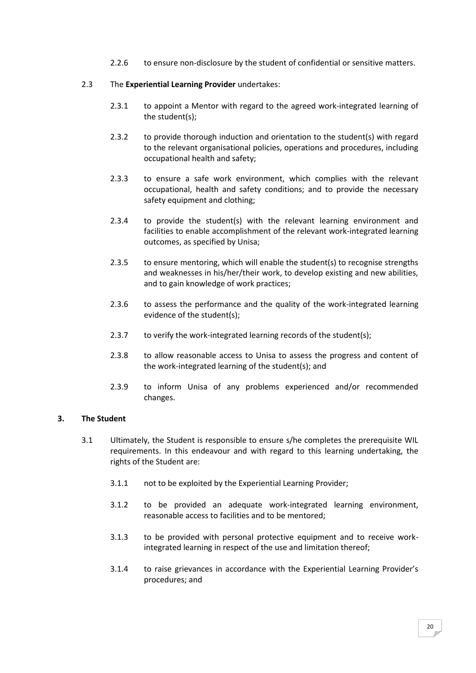2.2.6 to ensure non-disclosure by the student of confidential or sensitive matters.

### 2.3 The **Experiential Learning Provider** undertakes:

- 2.3.1 to appoint a Mentor with regard to the agreed work-integrated learning of the student(s);
- 2.3.2 to provide thorough induction and orientation to the student(s) with regard to the relevant organisational policies, operations and procedures, including occupational health and safety;
- 2.3.3 to ensure a safe work environment, which complies with the relevant occupational, health and safety conditions; and to provide the necessary safety equipment and clothing;
- 2.3.4 to provide the student(s) with the relevant learning environment and facilities to enable accomplishment of the relevant work-integrated learning outcomes, as specified by Unisa;
- 2.3.5 to ensure mentoring, which will enable the student(s) to recognise strengths and weaknesses in his/her/their work, to develop existing and new abilities, and to gain knowledge of work practices;
- 2.3.6 to assess the performance and the quality of the work-integrated learning evidence of the student(s);
- 2.3.7 to verify the work-integrated learning records of the student(s);
- 2.3.8 to allow reasonable access to Unisa to assess the progress and content of the work-integrated learning of the student(s); and
- 2.3.9 to inform Unisa of any problems experienced and/or recommended changes.

### **3. The Student**

- 3.1 Ultimately, the Student is responsible to ensure s/he completes the prerequisite WIL requirements. In this endeavour and with regard to this learning undertaking, the rights of the Student are:
	- 3.1.1 not to be exploited by the Experiential Learning Provider;
	- 3.1.2 to be provided an adequate work-integrated learning environment, reasonable access to facilities and to be mentored;
	- 3.1.3 to be provided with personal protective equipment and to receive workintegrated learning in respect of the use and limitation thereof;
	- 3.1.4 to raise grievances in accordance with the Experiential Learning Provider's procedures; and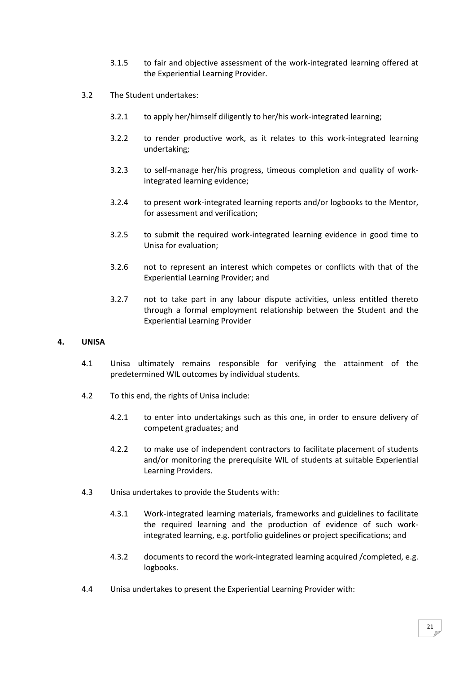- 3.1.5 to fair and objective assessment of the work-integrated learning offered at the Experiential Learning Provider.
- 3.2 The Student undertakes:
	- 3.2.1 to apply her/himself diligently to her/his work-integrated learning;
	- 3.2.2 to render productive work, as it relates to this work-integrated learning undertaking;
	- 3.2.3 to self-manage her/his progress, timeous completion and quality of workintegrated learning evidence;
	- 3.2.4 to present work-integrated learning reports and/or logbooks to the Mentor, for assessment and verification;
	- 3.2.5 to submit the required work-integrated learning evidence in good time to Unisa for evaluation;
	- 3.2.6 not to represent an interest which competes or conflicts with that of the Experiential Learning Provider; and
	- 3.2.7 not to take part in any labour dispute activities, unless entitled thereto through a formal employment relationship between the Student and the Experiential Learning Provider

### **4. UNISA**

- 4.1 Unisa ultimately remains responsible for verifying the attainment of the predetermined WIL outcomes by individual students.
- 4.2 To this end, the rights of Unisa include:
	- 4.2.1 to enter into undertakings such as this one, in order to ensure delivery of competent graduates; and
	- 4.2.2 to make use of independent contractors to facilitate placement of students and/or monitoring the prerequisite WIL of students at suitable Experiential Learning Providers.
- 4.3 Unisa undertakes to provide the Students with:
	- 4.3.1 Work-integrated learning materials, frameworks and guidelines to facilitate the required learning and the production of evidence of such workintegrated learning, e.g. portfolio guidelines or project specifications; and
	- 4.3.2 documents to record the work-integrated learning acquired /completed, e.g. logbooks.
- 4.4 Unisa undertakes to present the Experiential Learning Provider with: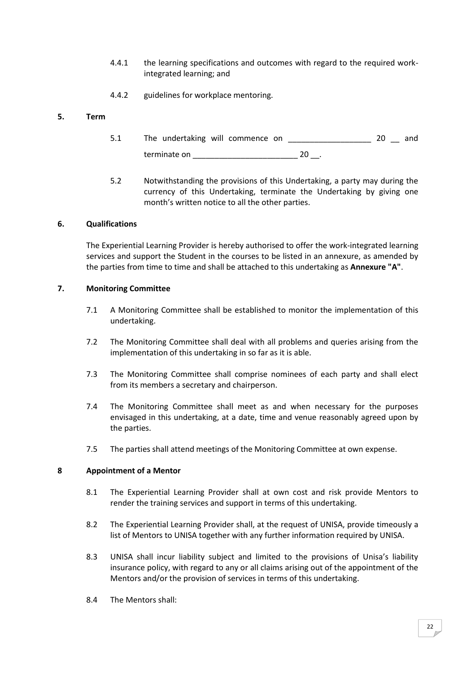- 4.4.1 the learning specifications and outcomes with regard to the required workintegrated learning; and
- 4.4.2 guidelines for workplace mentoring.

### **5. Term**

- 5.1 The undertaking will commence on \_\_\_\_\_\_\_\_\_\_\_\_\_\_\_\_\_\_\_\_\_\_\_ 20 \_\_ and terminate on  $20$ .
- 5.2 Notwithstanding the provisions of this Undertaking, a party may during the currency of this Undertaking, terminate the Undertaking by giving one month's written notice to all the other parties.

### **6. Qualifications**

The Experiential Learning Provider is hereby authorised to offer the work-integrated learning services and support the Student in the courses to be listed in an annexure, as amended by the parties from time to time and shall be attached to this undertaking as **Annexure "A"**.

### **7. Monitoring Committee**

- 7.1 A Monitoring Committee shall be established to monitor the implementation of this undertaking.
- 7.2 The Monitoring Committee shall deal with all problems and queries arising from the implementation of this undertaking in so far as it is able.
- 7.3 The Monitoring Committee shall comprise nominees of each party and shall elect from its members a secretary and chairperson.
- 7.4 The Monitoring Committee shall meet as and when necessary for the purposes envisaged in this undertaking, at a date, time and venue reasonably agreed upon by the parties.
- 7.5 The parties shall attend meetings of the Monitoring Committee at own expense.

### **8 Appointment of a Mentor**

- 8.1 The Experiential Learning Provider shall at own cost and risk provide Mentors to render the training services and support in terms of this undertaking.
- 8.2 The Experiential Learning Provider shall, at the request of UNISA, provide timeously a list of Mentors to UNISA together with any further information required by UNISA.
- 8.3 UNISA shall incur liability subject and limited to the provisions of Unisa's liability insurance policy, with regard to any or all claims arising out of the appointment of the Mentors and/or the provision of services in terms of this undertaking.
- 8.4 The Mentors shall: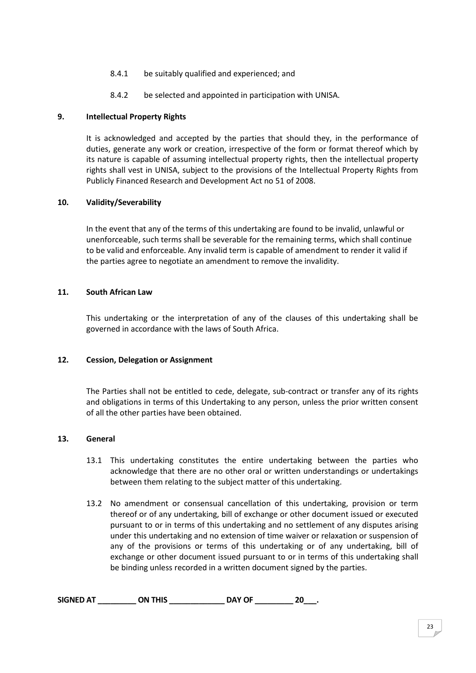- 8.4.1 be suitably qualified and experienced; and
- 8.4.2 be selected and appointed in participation with UNISA.

### **9. Intellectual Property Rights**

It is acknowledged and accepted by the parties that should they, in the performance of duties, generate any work or creation, irrespective of the form or format thereof which by its nature is capable of assuming intellectual property rights, then the intellectual property rights shall vest in UNISA, subject to the provisions of the Intellectual Property Rights from Publicly Financed Research and Development Act no 51 of 2008.

### **10. Validity/Severability**

In the event that any of the terms of this undertaking are found to be invalid, unlawful or unenforceable, such terms shall be severable for the remaining terms, which shall continue to be valid and enforceable. Any invalid term is capable of amendment to render it valid if the parties agree to negotiate an amendment to remove the invalidity.

### **11. South African Law**

This undertaking or the interpretation of any of the clauses of this undertaking shall be governed in accordance with the laws of South Africa.

### **12. Cession, Delegation or Assignment**

The Parties shall not be entitled to cede, delegate, sub-contract or transfer any of its rights and obligations in terms of this Undertaking to any person, unless the prior written consent of all the other parties have been obtained.

### **13. General**

- 13.1 This undertaking constitutes the entire undertaking between the parties who acknowledge that there are no other oral or written understandings or undertakings between them relating to the subject matter of this undertaking.
- 13.2 No amendment or consensual cancellation of this undertaking, provision or term thereof or of any undertaking, bill of exchange or other document issued or executed pursuant to or in terms of this undertaking and no settlement of any disputes arising under this undertaking and no extension of time waiver or relaxation or suspension of any of the provisions or terms of this undertaking or of any undertaking, bill of exchange or other document issued pursuant to or in terms of this undertaking shall be binding unless recorded in a written document signed by the parties.

| <b>SIGNED AT</b> | ON THIS | <b>DAY OF</b> | 20 |  |
|------------------|---------|---------------|----|--|
|                  |         |               |    |  |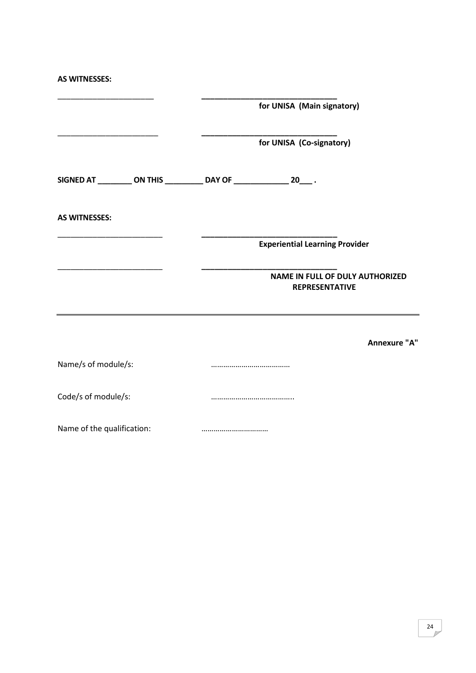| <b>AS WITNESSES:</b>       |                                                                          |
|----------------------------|--------------------------------------------------------------------------|
|                            | for UNISA (Main signatory)                                               |
|                            | for UNISA (Co-signatory)                                                 |
|                            | SIGNED AT __________ ON THIS ___________ DAY OF ________________ 20____. |
| <b>AS WITNESSES:</b>       |                                                                          |
|                            | <b>Experiential Learning Provider</b>                                    |
|                            | <b>NAME IN FULL OF DULY AUTHORIZED</b><br><b>REPRESENTATIVE</b>          |
|                            | Annexure "A"                                                             |
| Name/s of module/s:        |                                                                          |
| Code/s of module/s:        |                                                                          |
| Name of the qualification: |                                                                          |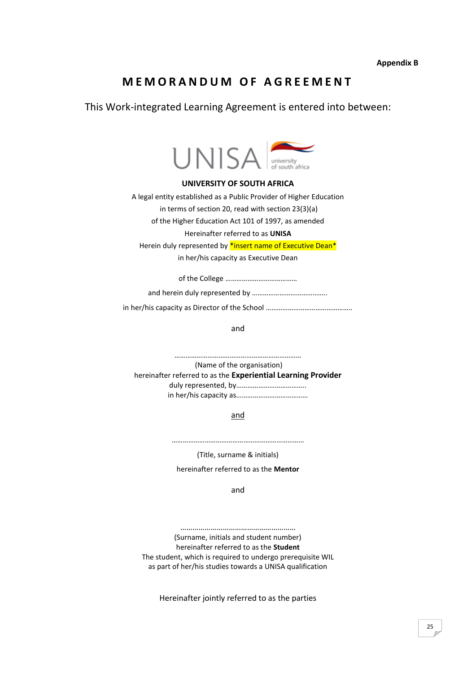**Appendix B**

# **M E M O R A N D U M O F A G R E E M E N T**

This Work-integrated Learning Agreement is entered into between:



#### **UNIVERSITY OF SOUTH AFRICA**

A legal entity established as a Public Provider of Higher Education in terms of section 20, read with section 23(3)(a)

of the Higher Education Act 101 of 1997, as amended

Hereinafter referred to as **UNISA**

Herein duly represented by \*insert name of Executive Dean\*

in her/his capacity as Executive Dean

of the College …………………………………

and herein duly represented by …………………………………..

in her/his capacity as Director of the School ………………………………………..

and

……………………………………………………………

(Name of the organisation) hereinafter referred to as the **Experiential Learning Provider** duly represented, by……………………………….. in her/his capacity as…………………………………

and

………………………………………………………………

(Title, surname & initials)

hereinafter referred to as the **Mentor**

and

………………………………………………… (Surname, initials and student number) hereinafter referred to as the **Student** The student, which is required to undergo prerequisite WIL as part of her/his studies towards a UNISA qualification

Hereinafter jointly referred to as the parties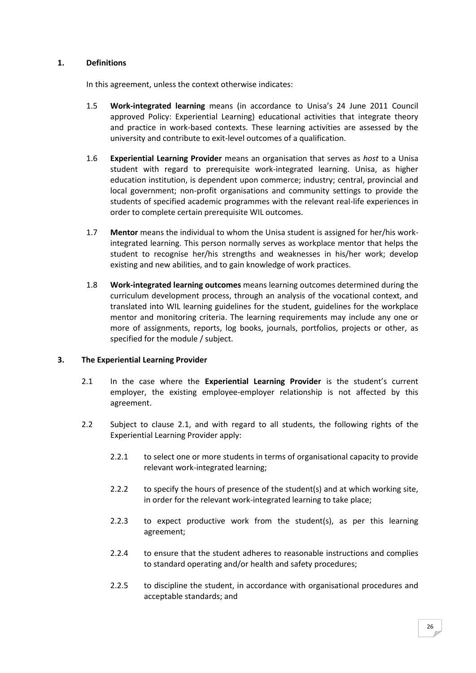### **1. Definitions**

In this agreement, unless the context otherwise indicates:

- 1.5 **Work-integrated learning** means (in accordance to Unisa's 24 June 2011 Council approved Policy: Experiential Learning) educational activities that integrate theory and practice in work-based contexts. These learning activities are assessed by the university and contribute to exit-level outcomes of a qualification.
- 1.6 **Experiential Learning Provider** means an organisation that serves as *host* to a Unisa student with regard to prerequisite work-integrated learning. Unisa, as higher education institution, is dependent upon commerce; industry; central, provincial and local government; non-profit organisations and community settings to provide the students of specified academic programmes with the relevant real-life experiences in order to complete certain prerequisite WIL outcomes.
- 1.7 **Mentor** means the individual to whom the Unisa student is assigned for her/his workintegrated learning. This person normally serves as workplace mentor that helps the student to recognise her/his strengths and weaknesses in his/her work; develop existing and new abilities, and to gain knowledge of work practices.
- 1.8 **Work-integrated learning outcomes** means learning outcomes determined during the curriculum development process, through an analysis of the vocational context, and translated into WIL learning guidelines for the student, guidelines for the workplace mentor and monitoring criteria. The learning requirements may include any one or more of assignments, reports, log books, journals, portfolios, projects or other, as specified for the module / subject.

### **3. The Experiential Learning Provider**

- 2.1 In the case where the **Experiential Learning Provider** is the student's current employer, the existing employee-employer relationship is not affected by this agreement.
- 2.2 Subject to clause 2.1, and with regard to all students, the following rights of the Experiential Learning Provider apply:
	- 2.2.1 to select one or more students in terms of organisational capacity to provide relevant work-integrated learning;
	- 2.2.2 to specify the hours of presence of the student(s) and at which working site, in order for the relevant work-integrated learning to take place;
	- 2.2.3 to expect productive work from the student(s), as per this learning agreement;
	- 2.2.4 to ensure that the student adheres to reasonable instructions and complies to standard operating and/or health and safety procedures;
	- 2.2.5 to discipline the student, in accordance with organisational procedures and acceptable standards; and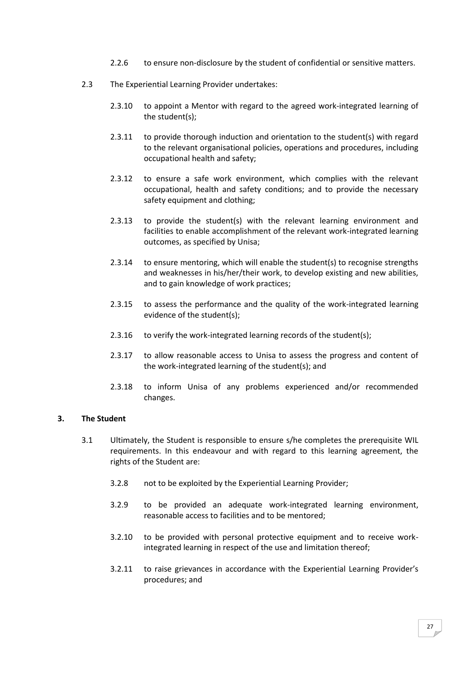- 2.2.6 to ensure non-disclosure by the student of confidential or sensitive matters.
- 2.3 The Experiential Learning Provider undertakes:
	- 2.3.10 to appoint a Mentor with regard to the agreed work-integrated learning of the student(s);
	- 2.3.11 to provide thorough induction and orientation to the student(s) with regard to the relevant organisational policies, operations and procedures, including occupational health and safety;
	- 2.3.12 to ensure a safe work environment, which complies with the relevant occupational, health and safety conditions; and to provide the necessary safety equipment and clothing;
	- 2.3.13 to provide the student(s) with the relevant learning environment and facilities to enable accomplishment of the relevant work-integrated learning outcomes, as specified by Unisa;
	- 2.3.14 to ensure mentoring, which will enable the student(s) to recognise strengths and weaknesses in his/her/their work, to develop existing and new abilities, and to gain knowledge of work practices;
	- 2.3.15 to assess the performance and the quality of the work-integrated learning evidence of the student(s);
	- 2.3.16 to verify the work-integrated learning records of the student(s);
	- 2.3.17 to allow reasonable access to Unisa to assess the progress and content of the work-integrated learning of the student(s); and
	- 2.3.18 to inform Unisa of any problems experienced and/or recommended changes.

### **3. The Student**

- 3.1 Ultimately, the Student is responsible to ensure s/he completes the prerequisite WIL requirements. In this endeavour and with regard to this learning agreement, the rights of the Student are:
	- 3.2.8 not to be exploited by the Experiential Learning Provider;
	- 3.2.9 to be provided an adequate work-integrated learning environment, reasonable access to facilities and to be mentored;
	- 3.2.10 to be provided with personal protective equipment and to receive workintegrated learning in respect of the use and limitation thereof;
	- 3.2.11 to raise grievances in accordance with the Experiential Learning Provider's procedures; and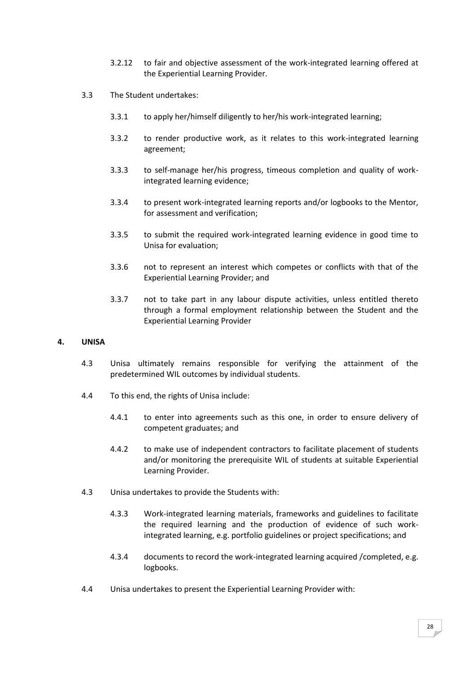- 3.2.12 to fair and objective assessment of the work-integrated learning offered at the Experiential Learning Provider.
- 3.3 The Student undertakes:
	- 3.3.1 to apply her/himself diligently to her/his work-integrated learning;
	- 3.3.2 to render productive work, as it relates to this work-integrated learning agreement;
	- 3.3.3 to self-manage her/his progress, timeous completion and quality of workintegrated learning evidence;
	- 3.3.4 to present work-integrated learning reports and/or logbooks to the Mentor, for assessment and verification;
	- 3.3.5 to submit the required work-integrated learning evidence in good time to Unisa for evaluation;
	- 3.3.6 not to represent an interest which competes or conflicts with that of the Experiential Learning Provider; and
	- 3.3.7 not to take part in any labour dispute activities, unless entitled thereto through a formal employment relationship between the Student and the Experiential Learning Provider

### **4. UNISA**

- 4.3 Unisa ultimately remains responsible for verifying the attainment of the predetermined WIL outcomes by individual students.
- 4.4 To this end, the rights of Unisa include:
	- 4.4.1 to enter into agreements such as this one, in order to ensure delivery of competent graduates; and
	- 4.4.2 to make use of independent contractors to facilitate placement of students and/or monitoring the prerequisite WIL of students at suitable Experiential Learning Provider.
- 4.3 Unisa undertakes to provide the Students with:
	- 4.3.3 Work-integrated learning materials, frameworks and guidelines to facilitate the required learning and the production of evidence of such workintegrated learning, e.g. portfolio guidelines or project specifications; and
	- 4.3.4 documents to record the work-integrated learning acquired /completed, e.g. logbooks.
- 4.4 Unisa undertakes to present the Experiential Learning Provider with: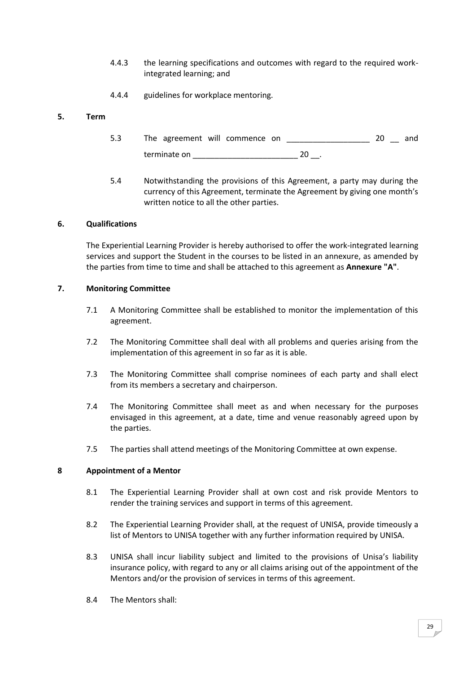- 4.4.3 the learning specifications and outcomes with regard to the required workintegrated learning; and
- 4.4.4 guidelines for workplace mentoring.

### **5. Term**

- 5.3 The agreement will commence on \_\_\_\_\_\_\_\_\_\_\_\_\_\_\_\_\_\_\_ 20 \_\_ and terminate on  $20$ .
- 5.4 Notwithstanding the provisions of this Agreement, a party may during the currency of this Agreement, terminate the Agreement by giving one month's written notice to all the other parties.

### **6. Qualifications**

The Experiential Learning Provider is hereby authorised to offer the work-integrated learning services and support the Student in the courses to be listed in an annexure, as amended by the parties from time to time and shall be attached to this agreement as **Annexure "A"**.

### **7. Monitoring Committee**

- 7.1 A Monitoring Committee shall be established to monitor the implementation of this agreement.
- 7.2 The Monitoring Committee shall deal with all problems and queries arising from the implementation of this agreement in so far as it is able.
- 7.3 The Monitoring Committee shall comprise nominees of each party and shall elect from its members a secretary and chairperson.
- 7.4 The Monitoring Committee shall meet as and when necessary for the purposes envisaged in this agreement, at a date, time and venue reasonably agreed upon by the parties.
- 7.5 The parties shall attend meetings of the Monitoring Committee at own expense.

### **8 Appointment of a Mentor**

- 8.1 The Experiential Learning Provider shall at own cost and risk provide Mentors to render the training services and support in terms of this agreement.
- 8.2 The Experiential Learning Provider shall, at the request of UNISA, provide timeously a list of Mentors to UNISA together with any further information required by UNISA.
- 8.3 UNISA shall incur liability subject and limited to the provisions of Unisa's liability insurance policy, with regard to any or all claims arising out of the appointment of the Mentors and/or the provision of services in terms of this agreement.
- 8.4 The Mentors shall: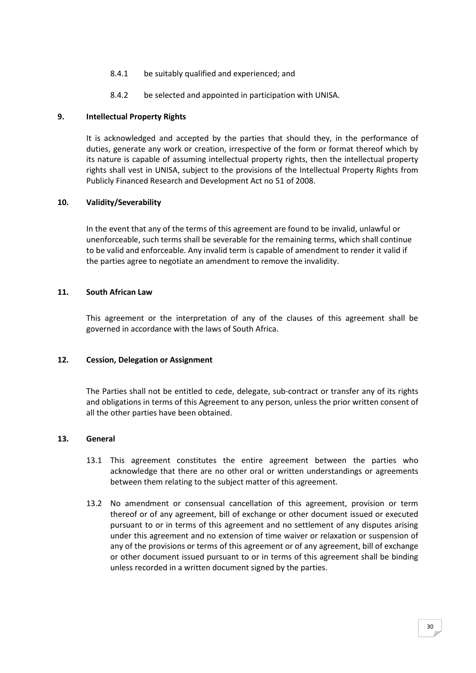- 8.4.1 be suitably qualified and experienced; and
- 8.4.2 be selected and appointed in participation with UNISA.

### **9. Intellectual Property Rights**

It is acknowledged and accepted by the parties that should they, in the performance of duties, generate any work or creation, irrespective of the form or format thereof which by its nature is capable of assuming intellectual property rights, then the intellectual property rights shall vest in UNISA, subject to the provisions of the Intellectual Property Rights from Publicly Financed Research and Development Act no 51 of 2008.

### **10. Validity/Severability**

In the event that any of the terms of this agreement are found to be invalid, unlawful or unenforceable, such terms shall be severable for the remaining terms, which shall continue to be valid and enforceable. Any invalid term is capable of amendment to render it valid if the parties agree to negotiate an amendment to remove the invalidity.

### **11. South African Law**

This agreement or the interpretation of any of the clauses of this agreement shall be governed in accordance with the laws of South Africa.

### **12. Cession, Delegation or Assignment**

The Parties shall not be entitled to cede, delegate, sub-contract or transfer any of its rights and obligations in terms of this Agreement to any person, unless the prior written consent of all the other parties have been obtained.

### **13. General**

- 13.1 This agreement constitutes the entire agreement between the parties who acknowledge that there are no other oral or written understandings or agreements between them relating to the subject matter of this agreement.
- 13.2 No amendment or consensual cancellation of this agreement, provision or term thereof or of any agreement, bill of exchange or other document issued or executed pursuant to or in terms of this agreement and no settlement of any disputes arising under this agreement and no extension of time waiver or relaxation or suspension of any of the provisions or terms of this agreement or of any agreement, bill of exchange or other document issued pursuant to or in terms of this agreement shall be binding unless recorded in a written document signed by the parties.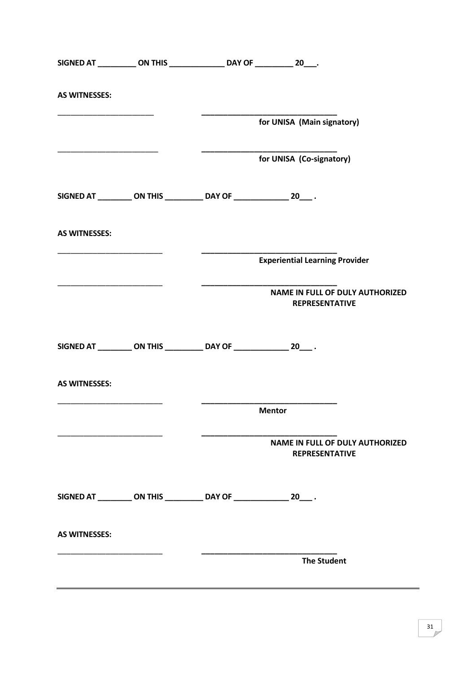|                                                               | SIGNED AT ____________ ON THIS __________________ DAY OF ____________ 20____. |                                       |                                        |
|---------------------------------------------------------------|-------------------------------------------------------------------------------|---------------------------------------|----------------------------------------|
| <b>AS WITNESSES:</b>                                          |                                                                               |                                       |                                        |
|                                                               |                                                                               | for UNISA (Main signatory)            |                                        |
|                                                               |                                                                               | for UNISA (Co-signatory)              |                                        |
|                                                               | SIGNED AT __________ ON THIS ____________ DAY OF ________________ 20____.     |                                       |                                        |
| <b>AS WITNESSES:</b>                                          |                                                                               |                                       |                                        |
|                                                               |                                                                               | <b>Experiential Learning Provider</b> |                                        |
| <u> 1989 - Johann Marie Barn, mars ann an t-Amhain an t-A</u> |                                                                               | <b>REPRESENTATIVE</b>                 | <b>NAME IN FULL OF DULY AUTHORIZED</b> |
|                                                               | SIGNED AT __________ ON THIS ____________ DAY OF ________________ 20____.     |                                       |                                        |
| <b>AS WITNESSES:</b>                                          |                                                                               |                                       |                                        |
|                                                               |                                                                               | <b>Mentor</b>                         |                                        |
|                                                               |                                                                               | <b>REPRESENTATIVE</b>                 | <b>NAME IN FULL OF DULY AUTHORIZED</b> |
|                                                               | SIGNED AT __________ ON THIS ____________ DAY OF ________________ 20____.     |                                       |                                        |
| <b>AS WITNESSES:</b>                                          |                                                                               |                                       |                                        |
|                                                               |                                                                               | <b>The Student</b>                    |                                        |